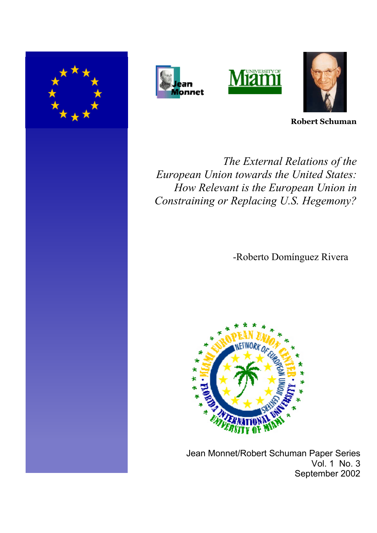







**Robert Schuman**

*The External Relations of the European Union towards the United States: How Relevant is the European Union in Constraining or Replacing U.S. Hegemony?* 

-Roberto Domínguez Rivera



 Jean Monnet/Robert Schuman Paper Series Vol. 1 No. 3 September 2002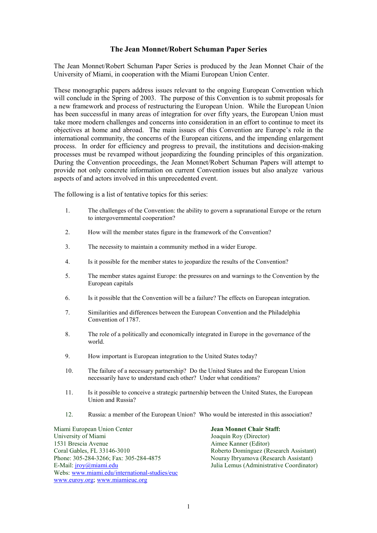# **The Jean Monnet/Robert Schuman Paper Series**

The Jean Monnet/Robert Schuman Paper Series is produced by the Jean Monnet Chair of the University of Miami, in cooperation with the Miami European Union Center.

These monographic papers address issues relevant to the ongoing European Convention which will conclude in the Spring of 2003. The purpose of this Convention is to submit proposals for a new framework and process of restructuring the European Union. While the European Union has been successful in many areas of integration for over fifty years, the European Union must take more modern challenges and concerns into consideration in an effort to continue to meet its objectives at home and abroad. The main issues of this Convention are Europe's role in the international community, the concerns of the European citizens, and the impending enlargement process. In order for efficiency and progress to prevail, the institutions and decision-making processes must be revamped without jeopardizing the founding principles of this organization. During the Convention proceedings, the Jean Monnet/Robert Schuman Papers will attempt to provide not only concrete information on current Convention issues but also analyze various aspects of and actors involved in this unprecedented event.

The following is a list of tentative topics for this series:

- 1. The challenges of the Convention: the ability to govern a supranational Europe or the return to intergovernmental cooperation?
- 2. How will the member states figure in the framework of the Convention?
- 3. The necessity to maintain a community method in a wider Europe.
- 4. Is it possible for the member states to jeopardize the results of the Convention?
- 5. The member states against Europe: the pressures on and warnings to the Convention by the European capitals
- 6. Is it possible that the Convention will be a failure? The effects on European integration.
- 7. Similarities and differences between the European Convention and the Philadelphia Convention of 1787.
- 8. The role of a politically and economically integrated in Europe in the governance of the world.
- 9. How important is European integration to the United States today?
- 10. The failure of a necessary partnership? Do the United States and the European Union necessarily have to understand each other? Under what conditions?
- 11. Is it possible to conceive a strategic partnership between the United States, the European Union and Russia?
- 12. Russia: a member of the European Union? Who would be interested in this association?

Miami European Union Center **Jean Monnet Chair Staff:** University of Miami Joaquín Roy (Director) 1531 Brescia Avenue Aimee Kanner (Editor) Coral Gables, FL 33146-3010 Roberto Domínguez (Research Assistant) Phone: 305-284-3266; Fax: 305-284-4875 Nouray Ibryamova (Research Assistant) E-Mail: *iroy@miami.edu Julia Lemus (Administrative Coordinator)* Webs: [www.miami.edu/international-studies/euc](http://www.miami.edu/international-studies/euc) [www.euroy.org;](http://www.euroy.org/) [www.miamieuc.org](http://www.miamieuc.org/)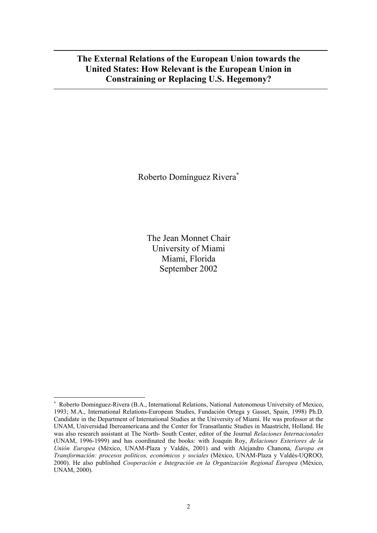# **The External Relations of the European Union towards the United States: How Relevant is the European Union in Constraining or Replacing U.S. Hegemony?**

Roberto Domínguez Rivera

The Jean Monnet Chair University of Miami Miami, Florida September 2002

<span id="page-2-0"></span> $\ddot{\phantom{0}}$  Roberto Dominguez-Rivera (B.A., International Relations, National Autonomous University of Mexico, 1993; M.A., International Relations-European Studies, Fundación Ortega y Gasset, Spain, 1998) Ph.D. Candidate in the Department of International Studies at the University of Miami. He was professor at the UNAM, Universidad Iberoamericana and the Center for Transatlantic Studies in Maastricht, Holland. He was also research assistant at The North- South Center, editor of the Journal *Relaciones Internacionales* (UNAM, 1996-1999) and has coordinated the books: with Joaquín Roy, *Relaciones Exteriores de la Unión Europea* (México, UNAM-Plaza y Valdés, 2001) and with Alejandro Chanona, *Europa en Transformación: procesos políticos, económicos y sociales* (México, UNAM-Plaza y Valdés-UQROO, 2000). He also published *Cooperación e Integración en la Organización Regional Europea* (México, UNAM, 2000).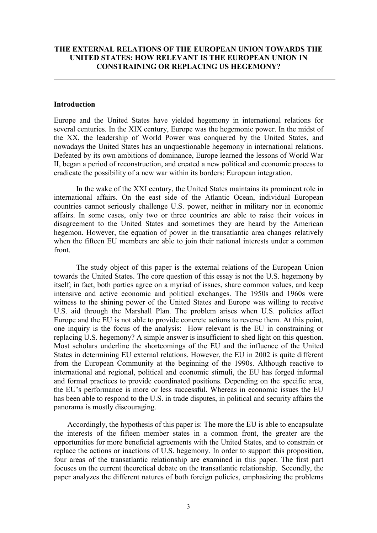# **THE EXTERNAL RELATIONS OF THE EUROPEAN UNION TOWARDS THE UNITED STATES: HOW RELEVANT IS THE EUROPEAN UNION IN CONSTRAINING OR REPLACING US HEGEMONY?**

# **Introduction**

Europe and the United States have yielded hegemony in international relations for several centuries. In the XIX century, Europe was the hegemonic power. In the midst of the XX, the leadership of World Power was conquered by the United States, and nowadays the United States has an unquestionable hegemony in international relations. Defeated by its own ambitions of dominance, Europe learned the lessons of World War II, began a period of reconstruction, and created a new political and economic process to eradicate the possibility of a new war within its borders: European integration.

In the wake of the XXI century, the United States maintains its prominent role in international affairs. On the east side of the Atlantic Ocean, individual European countries cannot seriously challenge U.S. power, neither in military nor in economic affairs. In some cases, only two or three countries are able to raise their voices in disagreement to the United States and sometimes they are heard by the American hegemon. However, the equation of power in the transatlantic area changes relatively when the fifteen EU members are able to join their national interests under a common front.

The study object of this paper is the external relations of the European Union towards the United States. The core question of this essay is not the U.S. hegemony by itself; in fact, both parties agree on a myriad of issues, share common values, and keep intensive and active economic and political exchanges. The 1950s and 1960s were witness to the shining power of the United States and Europe was willing to receive U.S. aid through the Marshall Plan. The problem arises when U.S. policies affect Europe and the EU is not able to provide concrete actions to reverse them. At this point, one inquiry is the focus of the analysis: How relevant is the EU in constraining or replacing U.S. hegemony? A simple answer is insufficient to shed light on this question. Most scholars underline the shortcomings of the EU and the influence of the United States in determining EU external relations. However, the EU in 2002 is quite different from the European Community at the beginning of the 1990s. Although reactive to international and regional, political and economic stimuli, the EU has forged informal and formal practices to provide coordinated positions. Depending on the specific area, the EU's performance is more or less successful. Whereas in economic issues the EU has been able to respond to the U.S. in trade disputes, in political and security affairs the panorama is mostly discouraging.

Accordingly, the hypothesis of this paper is: The more the EU is able to encapsulate the interests of the fifteen member states in a common front, the greater are the opportunities for more beneficial agreements with the United States, and to constrain or replace the actions or inactions of U.S. hegemony. In order to support this proposition, four areas of the transatlantic relationship are examined in this paper. The first part focuses on the current theoretical debate on the transatlantic relationship. Secondly, the paper analyzes the different natures of both foreign policies, emphasizing the problems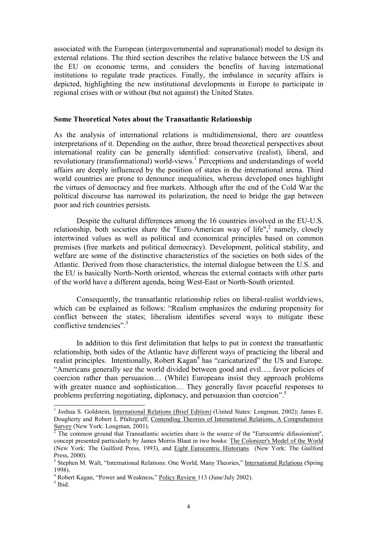associated with the European (intergovernmental and supranational) model to design its external relations. The third section describes the relative balance between the US and the EU on economic terms, and considers the benefits of having international institutions to regulate trade practices. Finally, the imbalance in security affairs is depicted, highlighting the new institutional developments in Europe to participate in regional crises with or without (but not against) the United States.

#### **Some Theoretical Notes about the Transatlantic Relationship**

As the analysis of international relations is multidimensional, there are countless interpretations of it. Depending on the author, three broad theoretical perspectives about international reality can be generally identified: conservative (realist), liberal, and revolutionary (transformational) world-views.<sup>[1](#page-4-0)</sup> Perceptions and understandings of world affairs are deeply influenced by the position of states in the international arena. Third world countries are prone to denounce inequalities, whereas developed ones highlight the virtues of democracy and free markets. Although after the end of the Cold War the political discourse has narrowed its polarization, the need to bridge the gap between poor and rich countries persists.

Despite the cultural differences among the 16 countries involved in the EU-U.S. relationship, both societies share the "Euro-American way of life",<sup>[2](#page-4-1)</sup> namely, closely intertwined values as well as political and economical principles based on common premises (free markets and political democracy). Development, political stability, and welfare are some of the distinctive characteristics of the societies on both sides of the Atlantic. Derived from those characteristics, the internal dialogue between the U.S. and the EU is basically North-North oriented, whereas the external contacts with other parts of the world have a different agenda, being West-East or North-South oriented.

Consequently, the transatlantic relationship relies on liberal-realist worldviews, which can be explained as follows: "Realism emphasizes the enduring propensity for conflict between the states; liberalism identifies several ways to mitigate these conflictive tendencies".<sup>[3](#page-4-2)</sup>

In addition to this first delimitation that helps to put in context the transatlantic relationship, both sides of the Atlantic have different ways of practicing the liberal and realist principles. Intentionally, Robert Kagan<sup>[4](#page-4-3)</sup> has "caricaturized" the US and Europe. "Americans generally see the world divided between good and evil…. favor policies of coercion rather than persuasion… (While) Europeans insist they approach problems with greater nuance and sophistication... They generally favor peaceful responses to problems preferring negotiating, diplomacy, and persuasion than coercion".<sup>[5](#page-4-4)</sup>

<span id="page-4-0"></span> <sup>1</sup> <sup>1</sup> Joshua S. Goldstein, International Relations (Brief Edition) (United States: Longman, 2002); James E. Dougherty and Robert L Pfaltzgraff, Contending Theories of International Relations. A Comprehensive  $S$ <sup>1</sup> Survey (New York: Longman, 2001).

<span id="page-4-1"></span>The common ground that Transatlantic societies share is the source of the "Eurocentric difussionism", concept presented particularly by James Morris Blaut in two books: The Colonizer's Model of the World (New York: The Guilford Press, 1993), and Eight Eurocentric Historians (New York: The Guilford Press, 2000).

<span id="page-4-2"></span><sup>&</sup>lt;sup>3</sup> Stephen M. Walt, "International Relations: One World, Many Theories," International Relations (Spring 1998). 4

<span id="page-4-3"></span><sup>&</sup>lt;sup>4</sup> Robert Kagan, "Power and Weakness," Policy Review 113 (June/July 2002).

<span id="page-4-4"></span> $<sup>5</sup>$  Ibid.</sup>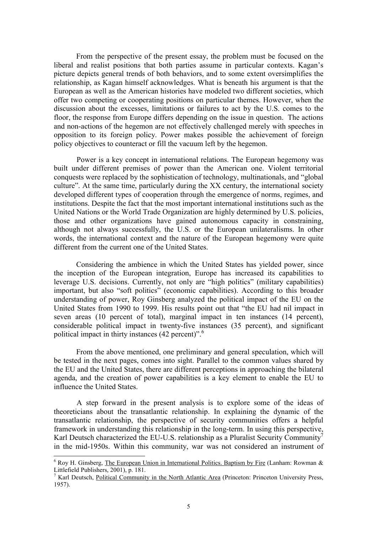From the perspective of the present essay, the problem must be focused on the liberal and realist positions that both parties assume in particular contexts. Kagan's picture depicts general trends of both behaviors, and to some extent oversimplifies the relationship, as Kagan himself acknowledges. What is beneath his argument is that the European as well as the American histories have modeled two different societies, which offer two competing or cooperating positions on particular themes. However, when the discussion about the excesses, limitations or failures to act by the U.S. comes to the floor, the response from Europe differs depending on the issue in question. The actions and non-actions of the hegemon are not effectively challenged merely with speeches in opposition to its foreign policy. Power makes possible the achievement of foreign policy objectives to counteract or fill the vacuum left by the hegemon.

Power is a key concept in international relations. The European hegemony was built under different premises of power than the American one. Violent territorial conquests were replaced by the sophistication of technology, multinationals, and "global culture". At the same time, particularly during the XX century, the international society developed different types of cooperation through the emergence of norms, regimes, and institutions. Despite the fact that the most important international institutions such as the United Nations or the World Trade Organization are highly determined by U.S. policies, those and other organizations have gained autonomous capacity in constraining, although not always successfully, the U.S. or the European unilateralisms. In other words, the international context and the nature of the European hegemony were quite different from the current one of the United States.

Considering the ambience in which the United States has yielded power, since the inception of the European integration, Europe has increased its capabilities to leverage U.S. decisions. Currently, not only are "high politics" (military capabilities) important, but also "soft politics" (economic capabilities). According to this broader understanding of power, Roy Ginsberg analyzed the political impact of the EU on the United States from 1990 to 1999. His results point out that "the EU had nil impact in seven areas (10 percent of total), marginal impact in ten instances (14 percent), considerable political impact in twenty-five instances (35 percent), and significant political impact in thirty instances (42 percent)".<sup>[6](#page-5-0)</sup>

From the above mentioned, one preliminary and general speculation, which will be tested in the next pages, comes into sight. Parallel to the common values shared by the EU and the United States, there are different perceptions in approaching the bilateral agenda, and the creation of power capabilities is a key element to enable the EU to influence the United States.

A step forward in the present analysis is to explore some of the ideas of theoreticians about the transatlantic relationship. In explaining the dynamic of the transatlantic relationship, the perspective of security communities offers a helpful framework in understanding this relationship in the long-term. In using this perspective, Karl Deutsch characterized the EU-U.S. relationship as a Pluralist Security Community<sup>[7](#page-5-1)</sup> in the mid-1950s. Within this community, war was not considered an instrument of

<span id="page-5-0"></span> <sup>6</sup>  $6$  Roy H. Ginsberg, The European Union in International Politics. Baptism by Fire (Lanham: Rowman  $\&$ Littlefield Publishers, 2001), p. 181.

<span id="page-5-1"></span><sup>&</sup>lt;sup>7</sup> Karl Deutsch, Political Community in the North Atlantic Area (Princeton: Princeton University Press, 1957).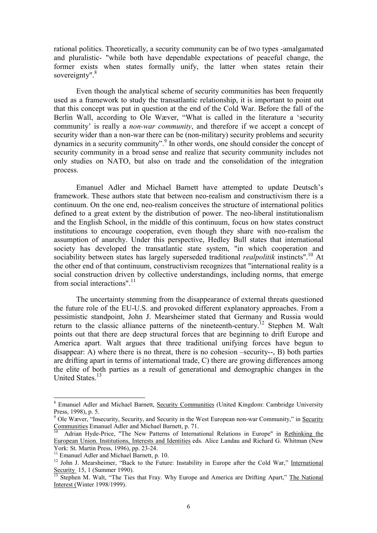rational politics. Theoretically, a security community can be of two types -amalgamated and pluralistic- "while both have dependable expectations of peaceful change, the former exists when states formally unify, the latter when states retain their sovereignty".<sup>[8](#page-6-0)</sup>

Even though the analytical scheme of security communities has been frequently used as a framework to study the transatlantic relationship, it is important to point out that this concept was put in question at the end of the Cold War. Before the fall of the Berlin Wall, according to Ole Wæver, "What is called in the literature a 'security community' is really a *non-war community*, and therefore if we accept a concept of security wider than a non-war there can be (non-military) security problems and security dynamics in a security community".<sup>[9](#page-6-1)</sup> In other words, one should consider the concept of security community in a broad sense and realize that security community includes not only studies on NATO, but also on trade and the consolidation of the integration process.

Emanuel Adler and Michael Barnett have attempted to update Deutsch's framework. These authors state that between neo-realism and constructivism there is a continuum. On the one end, neo-realism conceives the structure of international politics defined to a great extent by the distribution of power. The neo-liberal institutionalism and the English School, in the middle of this continuum, focus on how states construct institutions to encourage cooperation, even though they share with neo-realism the assumption of anarchy. Under this perspective, Hedley Bull states that international society has developed the transatlantic state system, "in which cooperation and sociability between states has largely superseded traditional *realpolitik* instincts". [10](#page-6-2) At the other end of that continuum, constructivism recognizes that "international reality is a social construction driven by collective understandings, including norms, that emerge from social interactions".<sup>[11](#page-6-3)</sup>

The uncertainty stemming from the disappearance of external threats questioned the future role of the EU-U.S. and provoked different explanatory approaches. From a pessimistic standpoint, John J. Mearsheimer stated that Germany and Russia would return to the classic alliance patterns of the nineteenth-century.<sup>12</sup> Stephen M. Walt points out that there are deep structural forces that are beginning to drift Europe and America apart. Walt argues that three traditional unifying forces have begun to disappear: A) where there is no threat, there is no cohesion –security--, B) both parties are drifting apart in terms of international trade, C) there are growing differences among the elite of both parties as a result of generational and demographic changes in the United States.<sup>13</sup>

<span id="page-6-0"></span> <sup>8</sup> <sup>8</sup> Emanuel Adler and Michael Barnett, Security Communities (United Kingdom: Cambridge University Press, 1998), p. 5.

<span id="page-6-1"></span><sup>&</sup>lt;sup>9</sup> Ole Wæver, "Insecurity, Security, and Security in the West European non-war Community," in Security Communities Emanuel Adler and Michael Barnett, p. 71.

<span id="page-6-2"></span>Adrian Hyde-Price, "The New Patterns of International Relations in Europe" in Rethinking the European Union. Institutions, Interests and Identities eds. Alice Landau and Richard G. Whitman (New

<span id="page-6-4"></span><span id="page-6-3"></span>

York: St. Martin Press, 1996), pp. 23-24.<br><sup>11</sup> Emanuel Adler and Michael Barnett, p. 10.<br><sup>12</sup> John J. Mearsheimer, "Back to the Future: Instability in Europe after the Cold War," <u>International<br>Security</u> 15, 1 (Summer 199

<span id="page-6-5"></span>Stephen M. Walt, "The Ties that Fray. Why Europe and America are Drifting Apart," The National Interest (Winter 1998/1999).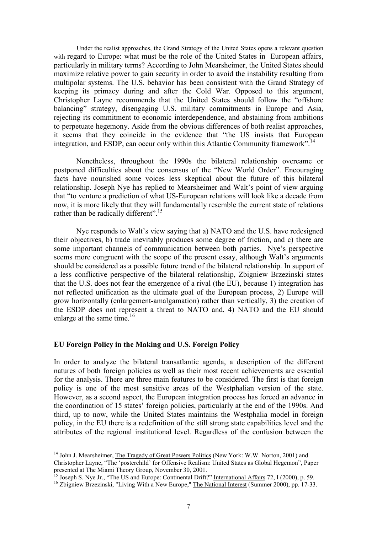Under the realist approaches, the Grand Strategy of the United States opens a relevant question with regard to Europe: what must be the role of the United States in European affairs, particularly in military terms? According to John Mearsheimer, the United States should maximize relative power to gain security in order to avoid the instability resulting from multipolar systems. The U.S. behavior has been consistent with the Grand Strategy of keeping its primacy during and after the Cold War. Opposed to this argument, Christopher Layne recommends that the United States should follow the "offshore balancing" strategy, disengaging U.S. military commitments in Europe and Asia, rejecting its commitment to economic interdependence, and abstaining from ambitions to perpetuate hegemony. Aside from the obvious differences of both realist approaches, it seems that they coincide in the evidence that "the US insists that European integration, and ESDP, can occur only within this Atlantic Community framework".<sup>[14](#page-7-0)</sup>

Nonetheless, throughout the 1990s the bilateral relationship overcame or postponed difficulties about the consensus of the "New World Order". Encouraging facts have nourished some voices less skeptical about the future of this bilateral relationship. Joseph Nye has replied to Mearsheimer and Walt's point of view arguing that "to venture a prediction of what US-European relations will look like a decade from now, it is more likely that they will fundamentally resemble the current state of relations rather than be radically different".<sup>15</sup>

Nye responds to Walt's view saying that a) NATO and the U.S. have redesigned their objectives, b) trade inevitably produces some degree of friction, and c) there are some important channels of communication between both parties. Nye's perspective seems more congruent with the scope of the present essay, although Walt's arguments should be considered as a possible future trend of the bilateral relationship. In support of a less conflictive perspective of the bilateral relationship, Zbigniew Brzezinski states that the U.S. does not fear the emergence of a rival (the EU), because 1) integration has not reflected unification as the ultimate goal of the European process, 2) Europe will grow horizontally (enlargement-amalgamation) rather than vertically, 3) the creation of the ESDP does not represent a threat to NATO and, 4) NATO and the EU should enlarge at the same time.<sup>16</sup>

# **EU Foreign Policy in the Making and U.S. Foreign Policy**

In order to analyze the bilateral transatlantic agenda, a description of the different natures of both foreign policies as well as their most recent achievements are essential for the analysis. There are three main features to be considered. The first is that foreign policy is one of the most sensitive areas of the Westphalian version of the state. However, as a second aspect, the European integration process has forced an advance in the coordination of 15 states' foreign policies, particularly at the end of the 1990s. And third, up to now, while the United States maintains the Westphalia model in foreign policy, in the EU there is a redefinition of the still strong state capabilities level and the attributes of the regional institutional level. Regardless of the confusion between the

<span id="page-7-0"></span><sup>&</sup>lt;sup>14</sup> John J. Mearsheimer, *The Tragedy of Great Powers Politics* (New York: W.W. Norton, 2001) and Christopher Layne, "The 'posterchild' for Offensive Realism: United States as Global Hegemon", Paper<br>presented at The Miami Theory Group, November 30, 2001.

<span id="page-7-1"></span><sup>&</sup>lt;sup>15</sup> Joseph S. Nye Jr., "The US and Europe: Continental Drift?" International Affairs 72, I (2000), p. 59.<br><sup>16</sup> Zbigniew Brzezinski, "Living With a New Europe," <u>The National Interest</u> (Summer 2000), pp. 17-33.

<span id="page-7-2"></span>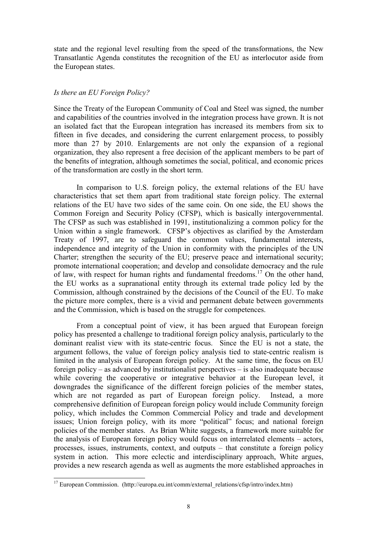state and the regional level resulting from the speed of the transformations, the New Transatlantic Agenda constitutes the recognition of the EU as interlocutor aside from the European states.

# *Is there an EU Foreign Policy?*

Since the Treaty of the European Community of Coal and Steel was signed, the number and capabilities of the countries involved in the integration process have grown. It is not an isolated fact that the European integration has increased its members from six to fifteen in five decades, and considering the current enlargement process, to possibly more than 27 by 2010. Enlargements are not only the expansion of a regional organization, they also represent a free decision of the applicant members to be part of the benefits of integration, although sometimes the social, political, and economic prices of the transformation are costly in the short term.

In comparison to U.S. foreign policy, the external relations of the EU have characteristics that set them apart from traditional state foreign policy. The external relations of the EU have two sides of the same coin. On one side, the EU shows the Common Foreign and Security Policy (CFSP), which is basically intergovernmental. The CFSP as such was established in 1991, institutionalizing a common policy for the Union within a single framework. CFSP's objectives as clarified by the Amsterdam Treaty of 1997, are to safeguard the common values, fundamental interests, independence and integrity of the Union in conformity with the principles of the UN Charter; strengthen the security of the EU; preserve peace and international security; promote international cooperation; and develop and consolidate democracy and the rule of law, with respect for human rights and fundamental freedoms.<sup>17</sup> On the other hand, the EU works as a supranational entity through its external trade policy led by the Commission, although constrained by the decisions of the Council of the EU. To make the picture more complex, there is a vivid and permanent debate between governments and the Commission, which is based on the struggle for competences.

From a conceptual point of view, it has been argued that European foreign policy has presented a challenge to traditional foreign policy analysis, particularly to the dominant realist view with its state-centric focus. Since the EU is not a state, the argument follows, the value of foreign policy analysis tied to state-centric realism is limited in the analysis of European foreign policy. At the same time, the focus on EU foreign policy – as advanced by institutionalist perspectives – is also inadequate because while covering the cooperative or integrative behavior at the European level, it downgrades the significance of the different foreign policies of the member states, which are not regarded as part of European foreign policy. Instead, a more comprehensive definition of European foreign policy would include Community foreign policy, which includes the Common Commercial Policy and trade and development issues; Union foreign policy, with its more "political" focus; and national foreign policies of the member states. As Brian White suggests, a framework more suitable for the analysis of European foreign policy would focus on interrelated elements – actors, processes, issues, instruments, context, and outputs – that constitute a foreign policy system in action. This more eclectic and interdisciplinary approach, White argues, provides a new research agenda as well as augments the more established approaches in

<span id="page-8-0"></span><sup>&</sup>lt;sup>17</sup> European Commission. (http://europa.eu.int/comm/external\_relations/cfsp/intro/index.htm)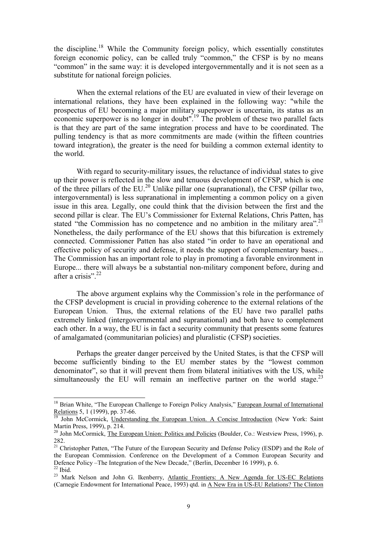<span id="page-9-5"></span>the discipline. [18](#page-9-0) While the Community foreign policy, which essentially constitutes foreign economic policy, can be called truly "common," the CFSP is by no means "common" in the same way: it is developed intergovernmentally and it is not seen as a substitute for national foreign policies.

When the external relations of the EU are evaluated in view of their leverage on international relations, they have been explained in the following way: "while the prospectus of EU becoming a major military superpower is uncertain, its status as an economic superpower is no longer in doubt".<sup>19</sup> The problem of these two parallel facts is that they are part of the same integration process and have to be coordinated. The pulling tendency is that as more commitments are made (within the fifteen countries toward integration), the greater is the need for building a common external identity to the world.

With regard to security-military issues, the reluctance of individual states to give up their power is reflected in the slow and tenuous development of CFSP, which is one of the three pillars of the EU[.20](#page-9-2) Unlike pillar one (supranational), the CFSP (pillar two, intergovernmental) is less supranational in implementing a common policy on a given issue in this area. Legally, one could think that the division between the first and the second pillar is clear. The EU's Commissioner for External Relations, Chris Patten, has stated "the Commission has no competence and no ambition in the military area".<sup>[21](#page-9-3)</sup> Nonetheless, the daily performance of the EU shows that this bifurcation is extremely connected. Commissioner Patten has also stated "in order to have an operational and effective policy of security and defense, it needs the support of complementary bases... The Commission has an important role to play in promoting a favorable environment in Europe... there will always be a substantial non-military component before, during and after a crisis". $22$ 

The above argument explains why the Commission's role in the performance of the CFSP development is crucial in providing coherence to the external relations of the European Union. Thus, the external relations of the EU have two parallel paths extremely linked (intergovernmental and supranational) and both have to complement each other. In a way, the EU is in fact a security community that presents some features of amalgamated (communitarian policies) and pluralistic (CFSP) societies.

Perhaps the greater danger perceived by the United States, is that the CFSP will become sufficiently binding to the EU member states by the "lowest common denominator", so that it will prevent them from bilateral initiatives with the US, while simultaneously the EU will remain an ineffective partner on the world stage.<sup>[23](#page-9-5)</sup>

<span id="page-9-0"></span><sup>&</sup>lt;sup>18</sup> Brian White, "The European Challenge to Foreign Policy Analysis," European Journal of International Relations 5, 1 (1999), pp. 37-66.<br><sup>19</sup> John McCormick, Understanding the European Union. A Concise Introduction (New York: Saint

<span id="page-9-1"></span>Martin Press, 1999), p. 214.<br><sup>20</sup> John McCormick, The European Union: Politics and Policies (Boulder, Co.: Westview Press, 1996), p.

<span id="page-9-2"></span><sup>282.</sup> 

<span id="page-9-3"></span><sup>&</sup>lt;sup>21</sup> Christopher Patten, "The Future of the European Security and Defense Policy (ESDP) and the Role of the European Commission. Conference on the Development of a Common European Security and Defence Policy –The Integration of the New Decade," (Berlin, December 16 1999), p. 6. <sup>22</sup> Ibid.

<span id="page-9-4"></span><sup>&</sup>lt;sup>23</sup> Mark Nelson and John G. Ikenberry, Atlantic Frontiers: A New Agenda for US-EC Relations (Carnegie Endowment for International Peace, 1993) qtd. in A New Era in US-EU Relations? The Clinton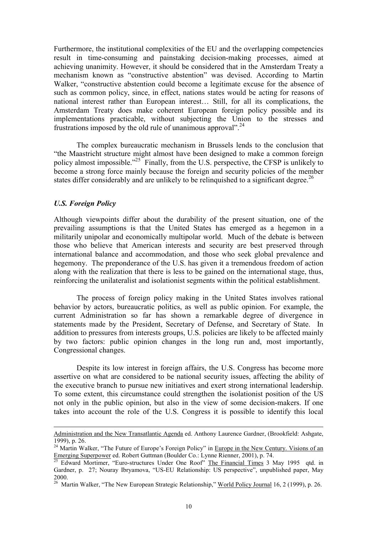Furthermore, the institutional complexities of the EU and the overlapping competencies result in time-consuming and painstaking decision-making processes, aimed at achieving unanimity. However, it should be considered that in the Amsterdam Treaty a mechanism known as "constructive abstention" was devised. According to Martin Walker, "constructive abstention could become a legitimate excuse for the absence of such as common policy, since, in effect, nations states would be acting for reasons of national interest rather than European interest… Still, for all its complications, the Amsterdam Treaty does make coherent European foreign policy possible and its implementations practicable, without subjecting the Union to the stresses and frustrations imposed by the old rule of unanimous approval".<sup>24</sup>

The complex bureaucratic mechanism in Brussels lends to the conclusion that "the Maastricht structure might almost have been designed to make a common foreign policy almost impossible."<sup>25</sup> Finally, from the U.S. perspective, the CFSP is unlikely to become a strong force mainly because the foreign and security policies of the member states differ considerably and are unlikely to be relinquished to a significant degree.<sup>[26](#page-10-2)</sup>

# *U.S. Foreign Policy*

l

Although viewpoints differ about the durability of the present situation, one of the prevailing assumptions is that the United States has emerged as a hegemon in a militarily unipolar and economically multipolar world. Much of the debate is between those who believe that American interests and security are best preserved through international balance and accommodation, and those who seek global prevalence and hegemony. The preponderance of the U.S. has given it a tremendous freedom of action along with the realization that there is less to be gained on the international stage, thus, reinforcing the unilateralist and isolationist segments within the political establishment.

The process of foreign policy making in the United States involves rational behavior by actors, bureaucratic politics, as well as public opinion. For example, the current Administration so far has shown a remarkable degree of divergence in statements made by the President, Secretary of Defense, and Secretary of State. In addition to pressures from interests groups, U.S. policies are likely to be affected mainly by two factors: public opinion changes in the long run and, most importantly, Congressional changes.

Despite its low interest in foreign affairs, the U.S. Congress has become more assertive on what are considered to be national security issues, affecting the ability of the executive branch to pursue new initiatives and exert strong international leadership. To some extent, this circumstance could strengthen the isolationist position of the US not only in the public opinion, but also in the view of some decision-makers. If one takes into account the role of the U.S. Congress it is possible to identify this local

Administration and the New Transatlantic Agenda ed. Anthony Laurence Gardner, (Brookfield: Ashgate,

<span id="page-10-0"></span><sup>1999),</sup> p. 26.<br><sup>24</sup> Martin Walker, "The Future of Europe's Foreign Policy" in <u>Europe in the New Century. Visions of an</u><br> $\frac{\text{Emerging Superpower}}{2}$  ed. Robert Guttman (Boulder Co.: Lynne Rienner, 2001), p. 74.

<span id="page-10-1"></span>Edward Mortimer, "Euro-structures Under One Roof" The Financial Times 3 May 1995 qtd. in Gardner, p. 27; Nouray Ibryamova, "US-EU Relationship: US perspective", unpublished paper, May 2000. 26 Martin Walker, "The New European Strategic Relationship," World Policy Journal 16, 2 (1999), p. 26.

<span id="page-10-2"></span>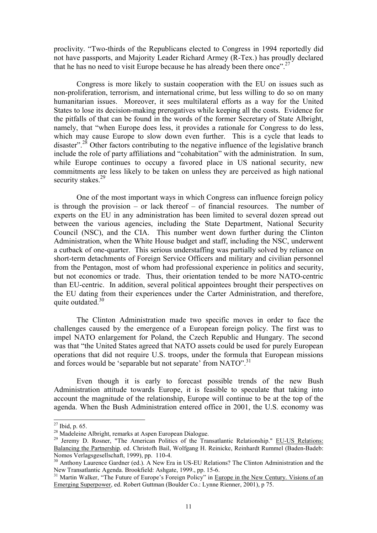proclivity. "Two-thirds of the Republicans elected to Congress in 1994 reportedly did not have passports, and Majority Leader Richard Armey (R-Tex.) has proudly declared that he has no need to visit Europe because he has already been there once".<sup>[27](#page-11-0)</sup>

Congress is more likely to sustain cooperation with the EU on issues such as non-proliferation, terrorism, and international crime, but less willing to do so on many humanitarian issues. Moreover, it sees multilateral efforts as a way for the United States to lose its decision-making prerogatives while keeping all the costs. Evidence for the pitfalls of that can be found in the words of the former Secretary of State Albright, namely, that "when Europe does less, it provides a rationale for Congress to do less, which may cause Europe to slow down even further. This is a cycle that leads to disaster"<sup>28</sup> Other factors contributing to the negative influence of the legislative branch include the role of party affiliations and "cohabitation" with the administration. In sum, while Europe continues to occupy a favored place in US national security, new commitments are less likely to be taken on unless they are perceived as high national security stakes.<sup>[29](#page-11-2)</sup>

One of the most important ways in which Congress can influence foreign policy is through the provision – or lack thereof – of financial resources. The number of experts on the EU in any administration has been limited to several dozen spread out between the various agencies, including the State Department, National Security Council (NSC), and the CIA. This number went down further during the Clinton Administration, when the White House budget and staff, including the NSC, underwent a cutback of one-quarter. This serious understaffing was partially solved by reliance on short-term detachments of Foreign Service Officers and military and civilian personnel from the Pentagon, most of whom had professional experience in politics and security, but not economics or trade. Thus, their orientation tended to be more NATO-centric than EU-centric. In addition, several political appointees brought their perspectives on the EU dating from their experiences under the Carter Administration, and therefore, quite outdated  $30<sup>30</sup>$ 

The Clinton Administration made two specific moves in order to face the challenges caused by the emergence of a European foreign policy. The first was to impel NATO enlargement for Poland, the Czech Republic and Hungary. The second was that "the United States agreed that NATO assets could be used for purely European operations that did not require U.S. troops, under the formula that European missions and forces would be 'separable but not separate' from  $NATO$ ".<sup>[31](#page-11-4)</sup>

Even though it is early to forecast possible trends of the new Bush Administration attitude towards Europe, it is feasible to speculate that taking into account the magnitude of the relationship, Europe will continue to be at the top of the agenda. When the Bush Administration entered office in 2001, the U.S. economy was

<span id="page-11-0"></span>

<span id="page-11-2"></span><span id="page-11-1"></span>

<sup>&</sup>lt;sup>27</sup> Ibid, p. 65.<br><sup>28</sup> Madeleine Albright, remarks at Aspen European Dialogue.<br><sup>29</sup> Jeremy D. Rosner, "The American Politics of the Transatlantic Relationship." <u>EU-US Relations:</u> Balancing the Partnership. ed. Christofh Bail, Wolfgang H. Reinicke, Reinhardt Rummel (Baden-Badeb:

<span id="page-11-3"></span>Nomos Verlagsgesellschaft, 1999), pp. 110-4.<br><sup>30</sup> Anthony Laurence Gardner (ed.). A New Era in US-EU Relations? The Clinton Administration and the<br>New Transatlantic Agenda. Brookfield: Ashgate, 1999., pp. 15-6.

<span id="page-11-4"></span><sup>&</sup>lt;sup>31</sup> Martin Walker, "The Future of Europe's Foreign Policy" in Europe in the New Century. Visions of an Emerging Superpower, ed. Robert Guttman (Boulder Co.: Lynne Rienner, 2001), p 75.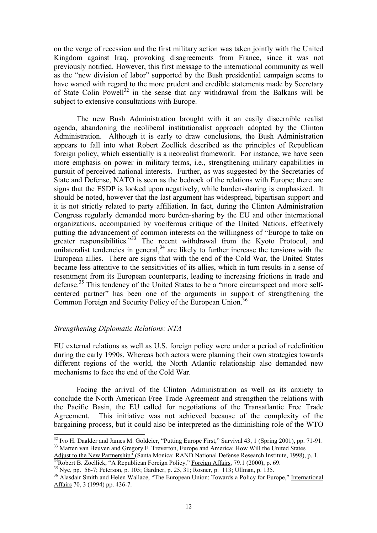on the verge of recession and the first military action was taken jointly with the United Kingdom against Iraq, provoking disagreements from France, since it was not previously notified. However, this first message to the international community as well as the "new division of labor" supported by the Bush presidential campaign seems to have waned with regard to the more prudent and credible statements made by Secretary of State Colin Powell<sup>32</sup> in the sense that any withdrawal from the Balkans will be subject to extensive consultations with Europe.

The new Bush Administration brought with it an easily discernible realist agenda, abandoning the neoliberal institutionalist approach adopted by the Clinton Administration. Although it is early to draw conclusions, the Bush Administration appears to fall into what Robert Zoellick described as the principles of Republican foreign policy, which essentially is a neorealist framework. For instance, we have seen more emphasis on power in military terms, i.e., strengthening military capabilities in pursuit of perceived national interests. Further, as was suggested by the Secretaries of State and Defense, NATO is seen as the bedrock of the relations with Europe; there are signs that the ESDP is looked upon negatively, while burden-sharing is emphasized. It should be noted, however that the last argument has widespread, bipartisan support and it is not strictly related to party affiliation. In fact, during the Clinton Administration Congress regularly demanded more burden-sharing by the EU and other international organizations, accompanied by vociferous critique of the United Nations, effectively putting the advancement of common interests on the willingness of "Europe to take on greater responsibilities."<sup>33</sup> The recent withdrawal from the Kyoto Protocol, and unilateralist tendencies in general,  $34$  are likely to further increase the tensions with the European allies. There are signs that with the end of the Cold War, the United States became less attentive to the sensitivities of its allies, which in turn results in a sense of resentment from its European counterparts, leading to increasing frictions in trade and defense.<sup>35</sup> This tendency of the United States to be a "more circumspect and more selfcentered partner" has been one of the arguments in support of strengthening the Common Foreign and Security Policy of the European Union.<sup>[36](#page-12-4)</sup>

# *Strengthening Diplomatic Relations: NTA*

EU external relations as well as U.S. foreign policy were under a period of redefinition during the early 1990s. Whereas both actors were planning their own strategies towards different regions of the world, the North Atlantic relationship also demanded new mechanisms to face the end of the Cold War.

Facing the arrival of the Clinton Administration as well as its anxiety to conclude the North American Free Trade Agreement and strengthen the relations with the Pacific Basin, the EU called for negotiations of the Transatlantic Free Trade Agreement. This initiative was not achieved because of the complexity of the bargaining process, but it could also be interpreted as the diminishing role of the WTO

<span id="page-12-0"></span><sup>&</sup>lt;sup>32</sup> Ivo H. Daalder and James M. Goldeier, "Putting Europe First," Survival 43, 1 (Spring 2001), pp. 71-91.<br><sup>33</sup> Marten van Heuven and Gregory F. Treverton, Europe and America: How Will the United States

<span id="page-12-1"></span>Adjust to the New Partnership? (Santa Monica: RAND National Defense Research Institute, 1998), p. 1.<br><sup>34</sup>Robert B. Zoellick, "A Republican Foreign Policy," <u>Foreign Affairs</u>, 79.1 (2000), p. 69.<br><sup>35</sup>Nye, pp. 56-7; Peterson

<span id="page-12-3"></span><span id="page-12-2"></span>

<span id="page-12-4"></span>Affairs 70, 3 (1994) pp. 436-7.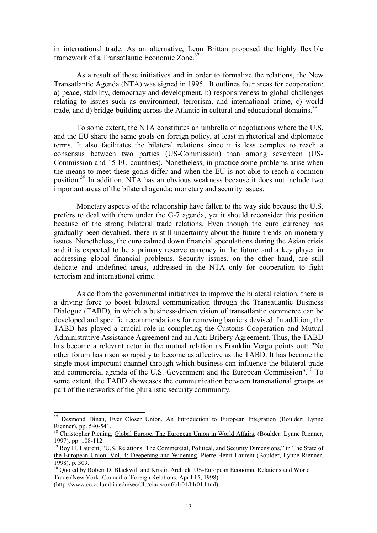in international trade. As an alternative, Leon Brittan proposed the highly flexible framework of a Transatlantic Economic Zone.<sup>[37](#page-13-0)</sup>

As a result of these initiatives and in order to formalize the relations, the New Transatlantic Agenda (NTA) was signed in 1995. It outlines four areas for cooperation: a) peace, stability, democracy and development, b) responsiveness to global challenges relating to issues such as environment, terrorism, and international crime, c) world trade, and d) bridge-building across the Atlantic in cultural and educational domains.<sup>[38](#page-13-1)</sup>

To some extent, the NTA constitutes an umbrella of negotiations where the U.S. and the EU share the same goals on foreign policy, at least in rhetorical and diplomatic terms. It also facilitates the bilateral relations since it is less complex to reach a consensus between two parties (US-Commission) than among seventeen (US-Commission and 15 EU countries). Nonetheless, in practice some problems arise when the means to meet these goals differ and when the EU is not able to reach a common position.[39](#page-13-2) In addition, NTA has an obvious weakness because it does not include two important areas of the bilateral agenda: monetary and security issues.

Monetary aspects of the relationship have fallen to the way side because the U.S. prefers to deal with them under the G-7 agenda, yet it should reconsider this position because of the strong bilateral trade relations. Even though the euro currency has gradually been devalued, there is still uncertainty about the future trends on monetary issues. Nonetheless, the euro calmed down financial speculations during the Asian crisis and it is expected to be a primary reserve currency in the future and a key player in addressing global financial problems. Security issues, on the other hand, are still delicate and undefined areas, addressed in the NTA only for cooperation to fight terrorism and international crime.

Aside from the governmental initiatives to improve the bilateral relation, there is a driving force to boost bilateral communication through the Transatlantic Business Dialogue (TABD), in which a business-driven vision of transatlantic commerce can be developed and specific recommendations for removing barriers devised. In addition, the TABD has played a crucial role in completing the Customs Cooperation and Mutual Administrative Assistance Agreement and an Anti-Bribery Agreement. Thus, the TABD has become a relevant actor in the mutual relation as Franklin Vergo points out: "No other forum has risen so rapidly to become as affective as the TABD. It has become the single most important channel through which business can influence the bilateral trade and commercial agenda of the U.S. Government and the European Commission". [40](#page-13-3) To some extent, the TABD showcases the communication between transnational groups as part of the networks of the pluralistic security community.

<span id="page-13-0"></span> $37$  Desmond Dinan, <u>Ever Closer Union. An Introduction to European Integration</u> (Boulder: Lynne Rienner), pp. 540-541.

<span id="page-13-1"></span> $38$  Christopher Piening, Global Europe. The European Union in World Affairs, (Boulder: Lynne Rienner, 1997), pp. 108-112.<br><sup>39</sup> Roy H. Laurent, "U.S. Relations: The Commercial, Political, and Security Dimensions," in The State of

<span id="page-13-2"></span>the European Union, Vol. 4: Deepening and Widening, Pierre-Henri Laurent (Boulder, Lynne Rienner, 1998), p. 309. 40 Quoted by Robert D. Blackwill and Kristin Archick*,* US-European Economic Relations and World

<span id="page-13-3"></span>Trade (New York: Council of Foreign Relations, April 15, 1998).

<sup>(</sup>http://www.cc.columbia.edu/sec/dlc/ciao/conf/blr01/blr01.html)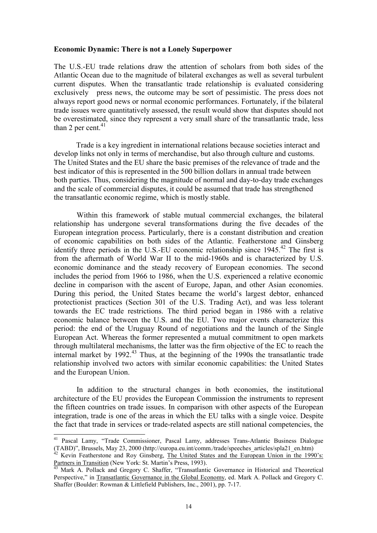# **Economic Dynamic: There is not a Lonely Superpower**

The U.S.-EU trade relations draw the attention of scholars from both sides of the Atlantic Ocean due to the magnitude of bilateral exchanges as well as several turbulent current disputes. When the transatlantic trade relationship is evaluated considering exclusively press news, the outcome may be sort of pessimistic. The press does not always report good news or normal economic performances. Fortunately, if the bilateral trade issues were quantitatively assessed, the result would show that disputes should not be overestimated, since they represent a very small share of the transatlantic trade, less than 2 per cent. $41$ 

Trade is a key ingredient in international relations because societies interact and develop links not only in terms of merchandise, but also through culture and customs. The United States and the EU share the basic premises of the relevance of trade and the best indicator of this is represented in the 500 billion dollars in annual trade between both parties. Thus, considering the magnitude of normal and day-to-day trade exchanges and the scale of commercial disputes, it could be assumed that trade has strengthened the transatlantic economic regime, which is mostly stable.

Within this framework of stable mutual commercial exchanges, the bilateral relationship has undergone several transformations during the five decades of the European integration process. Particularly, there is a constant distribution and creation of economic capabilities on both sides of the Atlantic. Featherstone and Ginsberg identify three periods in the U.S.-EU economic relationship since 1945.<sup>42</sup> The first is from the aftermath of World War II to the mid-1960s and is characterized by U.S. economic dominance and the steady recovery of European economies. The second includes the period from 1966 to 1986, when the U.S. experienced a relative economic decline in comparison with the ascent of Europe, Japan, and other Asian economies. During this period, the United States became the world's largest debtor, enhanced protectionist practices (Section 301 of the U.S. Trading Act), and was less tolerant towards the EC trade restrictions. The third period began in 1986 with a relative economic balance between the U.S. and the EU. Two major events characterize this period: the end of the Uruguay Round of negotiations and the launch of the Single European Act. Whereas the former represented a mutual commitment to open markets through multilateral mechanisms, the latter was the firm objective of the EC to reach the internal market by  $1992<sup>43</sup>$ . Thus, at the beginning of the  $1990s$  the transatlantic trade relationship involved two actors with similar economic capabilities: the United States and the European Union.

In addition to the structural changes in both economies, the institutional architecture of the EU provides the European Commission the instruments to represent the fifteen countries on trade issues. In comparison with other aspects of the European integration, trade is one of the areas in which the EU talks with a single voice. Despite the fact that trade in services or trade-related aspects are still national competencies, the

<span id="page-14-0"></span><sup>&</sup>lt;sup>41</sup> Pascal Lamy, "Trade Commissioner, Pascal Lamy, addresses Trans-Atlantic Business Dialogue (TABD)", Brussels, May 23, 2000 (http://europa.eu.int/comm./trade/speeches articles/spla21 en.htm)

<span id="page-14-1"></span><sup>&</sup>lt;sup>42</sup> Kevin Featherstone and Roy Ginsberg, The United States and the European Union in the 1990's:<br>Partners in Transition (New York: St. Martin's Press, 1993).

<span id="page-14-2"></span><sup>&</sup>lt;sup>43</sup> Mark A. Pollack and Gregory C. Shaffer, "Transatlantic Governance in Historical and Theoretical Perspective," in Transatlantic Governance in the Global Economy, ed. Mark A. Pollack and Gregory C. Shaffer (Boulder: Rowman & Littlefield Publishers, Inc., 2001), pp. 7-17.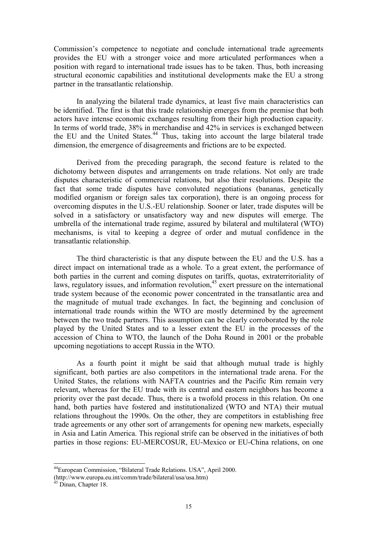Commission's competence to negotiate and conclude international trade agreements provides the EU with a stronger voice and more articulated performances when a position with regard to international trade issues has to be taken. Thus, both increasing structural economic capabilities and institutional developments make the EU a strong partner in the transatlantic relationship.

In analyzing the bilateral trade dynamics, at least five main characteristics can be identified. The first is that this trade relationship emerges from the premise that both actors have intense economic exchanges resulting from their high production capacity. In terms of world trade, 38% in merchandise and 42% in services is exchanged between the EU and the United States.<sup>44</sup> Thus, taking into account the large bilateral trade dimension, the emergence of disagreements and frictions are to be expected.

Derived from the preceding paragraph, the second feature is related to the dichotomy between disputes and arrangements on trade relations. Not only are trade disputes characteristic of commercial relations, but also their resolutions. Despite the fact that some trade disputes have convoluted negotiations (bananas, genetically modified organism or foreign sales tax corporation), there is an ongoing process for overcoming disputes in the U.S.-EU relationship. Sooner or later, trade disputes will be solved in a satisfactory or unsatisfactory way and new disputes will emerge. The umbrella of the international trade regime, assured by bilateral and multilateral (WTO) mechanisms, is vital to keeping a degree of order and mutual confidence in the transatlantic relationship.

The third characteristic is that any dispute between the EU and the U.S. has a direct impact on international trade as a whole. To a great extent, the performance of both parties in the current and coming disputes on tariffs, quotas, extraterritoriality of laws, regulatory issues, and information revolution,  $45$  exert pressure on the international trade system because of the economic power concentrated in the transatlantic area and the magnitude of mutual trade exchanges. In fact, the beginning and conclusion of international trade rounds within the WTO are mostly determined by the agreement between the two trade partners. This assumption can be clearly corroborated by the role played by the United States and to a lesser extent the EU in the processes of the accession of China to WTO, the launch of the Doha Round in 2001 or the probable upcoming negotiations to accept Russia in the WTO.

As a fourth point it might be said that although mutual trade is highly significant, both parties are also competitors in the international trade arena. For the United States, the relations with NAFTA countries and the Pacific Rim remain very relevant, whereas for the EU trade with its central and eastern neighbors has become a priority over the past decade. Thus, there is a twofold process in this relation. On one hand, both parties have fostered and institutionalized (WTO and NTA) their mutual relations throughout the 1990s. On the other, they are competitors in establishing free trade agreements or any other sort of arrangements for opening new markets, especially in Asia and Latin America. This regional strife can be observed in the initiatives of both parties in those regions: EU-MERCOSUR, EU-Mexico or EU-China relations, on one

<span id="page-15-0"></span> <sup>44</sup>European Commission, "Bilateral Trade Relations. USA", April 2000.

<sup>(</sup>http://www.europa.eu.int/comm/trade/bilateral/usa/usa.htm)<br><sup>45</sup> Dinan, Chapter 18.

<span id="page-15-1"></span>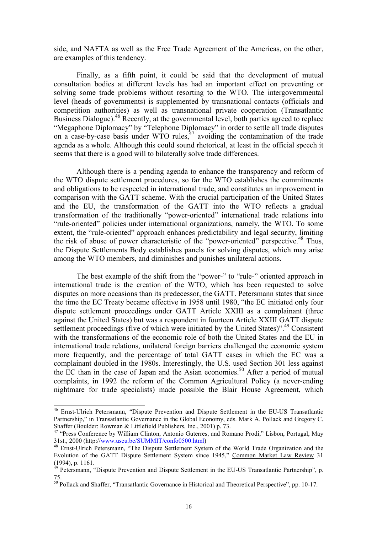side, and NAFTA as well as the Free Trade Agreement of the Americas, on the other, are examples of this tendency.

Finally, as a fifth point, it could be said that the development of mutual consultation bodies at different levels has had an important effect on preventing or solving some trade problems without resorting to the WTO. The intergovernmental level (heads of governments) is supplemented by transnational contacts (officials and competition authorities) as well as transnational private cooperation (Transatlantic Business Dialogue).<sup>46</sup> Recently, at the governmental level, both parties agreed to replace "Megaphone Diplomacy" by "Telephone Diplomacy" in order to settle all trade disputes on a case-by-case basis under WTO rules, $47$  avoiding the contamination of the trade agenda as a whole. Although this could sound rhetorical, at least in the official speech it seems that there is a good will to bilaterally solve trade differences.

Although there is a pending agenda to enhance the transparency and reform of the WTO dispute settlement procedures, so far the WTO establishes the commitments and obligations to be respected in international trade, and constitutes an improvement in comparison with the GATT scheme. With the crucial participation of the United States and the EU, the transformation of the GATT into the WTO reflects a gradual transformation of the traditionally "power-oriented" international trade relations into "rule-oriented" policies under international organizations, namely, the WTO. To some extent, the "rule-oriented" approach enhances predictability and legal security, limiting the risk of abuse of power characteristic of the "power-oriented" perspective.<sup>48</sup> Thus, the Dispute Settlements Body establishes panels for solving disputes, which may arise among the WTO members, and diminishes and punishes unilateral actions.

The best example of the shift from the "power-" to "rule-" oriented approach in international trade is the creation of the WTO, which has been requested to solve disputes on more occasions than its predecessor, the GATT. Petersmann states that since the time the EC Treaty became effective in 1958 until 1980, "the EC initiated only four dispute settlement proceedings under GATT Article XXIII as a complainant (three against the United States) but was a respondent in fourteen Article XXIII GATT dispute settlement proceedings (five of which were initiated by the United States)".<sup>49</sup> Consistent with the transformations of the economic role of both the United States and the EU in international trade relations, unilateral foreign barriers challenged the economic system more frequently, and the percentage of total GATT cases in which the EC was a complainant doubled in the 1980s. Interestingly, the U.S. used Section 301 less against the EC than in the case of Japan and the Asian economies.<sup>50</sup> After a period of mutual complaints, in 1992 the reform of the Common Agricultural Policy (a never-ending nightmare for trade specialists) made possible the Blair House Agreement, which

<span id="page-16-0"></span> <sup>46</sup> Ernst-Ulrich Petersmann, "Dispute Prevention and Dispute Settlement in the EU-US Transatlantic Partnership," in Transatlantic Governance in the Global Economy, eds. Mark A. Pollack and Gregory C.<br>Shaffer (Boulder: Rowman & Littlefield Publishers, Inc., 2001) p. 73.

<span id="page-16-1"></span><sup>&</sup>lt;sup>47</sup> "Press Conference by William Clinton, Antonio Guterres, and Romano Prodi," Lisbon, Portugal, May 31st 2000 (http://www.useu.be/SUMMIT/confo0500.html)

<span id="page-16-2"></span><sup>&</sup>lt;sup>48</sup> Ernst-Ulrich Petersmann, "The Dispute Settlement System of the World Trade Organization and the Evolution of the GATT Dispute Settlement System since 1945," Common Market Law Review 31 (1994), p. 1161.

<span id="page-16-3"></span> $\frac{\lambda_9}{19}$  Petersmann, "Dispute Prevention and Dispute Settlement in the EU-US Transatlantic Partnership", p. 75.

<span id="page-16-4"></span><sup>&</sup>lt;sup>50</sup> Pollack and Shaffer, "Transatlantic Governance in Historical and Theoretical Perspective", pp. 10-17.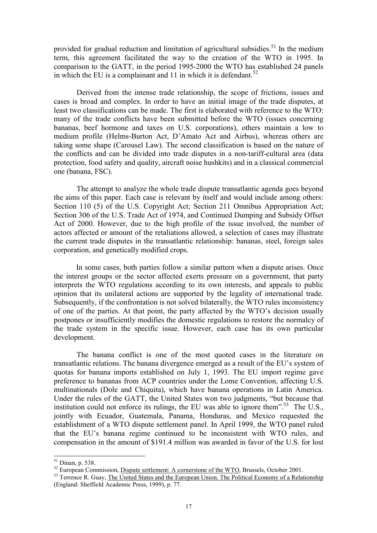provided for gradual reduction and limitation of agricultural subsidies.<sup>[51](#page-17-0)</sup> In the medium term, this agreement facilitated the way to the creation of the WTO in 1995. In comparison to the GATT, in the period 1995-2000 the WTO has established 24 panels in which the EU is a complainant and 11 in which it is defendant.<sup>[52](#page-17-1)</sup>

Derived from the intense trade relationship, the scope of frictions, issues and cases is broad and complex. In order to have an initial image of the trade disputes, at least two classifications can be made. The first is elaborated with reference to the WTO: many of the trade conflicts have been submitted before the WTO (issues concerning bananas, beef hormone and taxes on U.S. corporations), others maintain a low to medium profile (Helms-Burton Act, D'Amato Act and Airbus), whereas others are taking some shape (Carousel Law). The second classification is based on the nature of the conflicts and can be divided into trade disputes in a non-tariff-cultural area (data protection, food safety and quality, aircraft noise hushkits) and in a classical commercial one (banana, FSC).

The attempt to analyze the whole trade dispute transatlantic agenda goes beyond the aims of this paper. Each case is relevant by itself and would include among others: Section 110 (5) of the U.S. Copyright Act; Section 211 Omnibus Appropriation Act; Section 306 of the U.S. Trade Act of 1974, and Continued Dumping and Subsidy Offset Act of 2000. However, due to the high profile of the issue involved, the number of actors affected or amount of the retaliations allowed, a selection of cases may illustrate the current trade disputes in the transatlantic relationship: bananas, steel, foreign sales corporation, and genetically modified crops.

In some cases, both parties follow a similar pattern when a dispute arises. Once the interest groups or the sector affected exerts pressure on a government, that party interprets the WTO regulations according to its own interests, and appeals to public opinion that its unilateral actions are supported by the legality of international trade. Subsequently, if the confrontation is not solved bilaterally, the WTO rules inconsistency of one of the parties. At that point, the party affected by the WTO's decision usually postpones or insufficiently modifies the domestic regulations to restore the normalcy of the trade system in the specific issue. However, each case has its own particular development.

The banana conflict is one of the most quoted cases in the literature on transatlantic relations. The banana divergence emerged as a result of the EU's system of quotas for banana imports established on July 1, 1993. The EU import regime gave preference to bananas from ACP countries under the Lome Convention, affecting U.S. multinationals (Dole and Chiquita), which have banana operations in Latin America. Under the rules of the GATT, the United States won two judgments, "but because that institution could not enforce its rulings, the EU was able to ignore them". [53](#page-17-2) The U.S., jointly with Ecuador, Guatemala, Panama, Honduras, and Mexico requested the establishment of a WTO dispute settlement panel. In April 1999, the WTO panel ruled that the EU's banana regime continued to be inconsistent with WTO rules, and compensation in the amount of \$191.4 million was awarded in favor of the U.S. for lost

<span id="page-17-1"></span><span id="page-17-0"></span>

<sup>&</sup>lt;sup>51</sup> Dinan, p. 538.<br><sup>52</sup> European Commission, <u>Dispute settlement: A cornerstone of the WTO</u>, Brussels, October 2001.<br><sup>53</sup> Terrence R. Guay, <u>The United States and the European Union. The Political Economy of a Relationsh</u>

<span id="page-17-2"></span><sup>(</sup>England: Sheffield Academic Press, 1999), p. 77.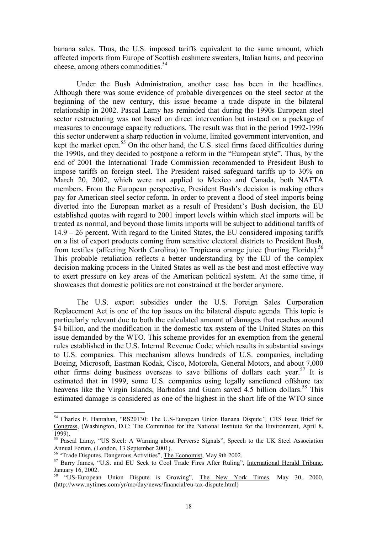banana sales. Thus, the U.S. imposed tariffs equivalent to the same amount, which affected imports from Europe of Scottish cashmere sweaters, Italian hams, and pecorino cheese, among others commodities.<sup>[54](#page-18-0)</sup>

Under the Bush Administration, another case has been in the headlines. Although there was some evidence of probable divergences on the steel sector at the beginning of the new century, this issue became a trade dispute in the bilateral relationship in 2002. Pascal Lamy has reminded that during the 1990s European steel sector restructuring was not based on direct intervention but instead on a package of measures to encourage capacity reductions. The result was that in the period 1992-1996 this sector underwent a sharp reduction in volume, limited government intervention, and kept the market open.<sup>55</sup> On the other hand, the U.S. steel firms faced difficulties during the 1990s, and they decided to postpone a reform in the "European style". Thus, by the end of 2001 the International Trade Commission recommended to President Bush to impose tariffs on foreign steel. The President raised safeguard tariffs up to 30% on March 20, 2002, which were not applied to Mexico and Canada, both NAFTA members. From the European perspective, President Bush's decision is making others pay for American steel sector reform. In order to prevent a flood of steel imports being diverted into the European market as a result of President's Bush decision, the EU established quotas with regard to 2001 import levels within which steel imports will be treated as normal, and beyond those limits imports will be subject to additional tariffs of 14.9 – 26 percent. With regard to the United States, the EU considered imposing tariffs on a list of export products coming from sensitive electoral districts to President Bush, from textiles (affecting North Carolina) to Tropicana orange juice (hurting Florida).<sup>[56](#page-18-2)</sup> This probable retaliation reflects a better understanding by the EU of the complex decision making process in the United States as well as the best and most effective way to exert pressure on key areas of the American political system. At the same time, it showcases that domestic politics are not constrained at the border anymore.

The U.S. export subsidies under the U.S. Foreign Sales Corporation Replacement Act is one of the top issues on the bilateral dispute agenda. This topic is particularly relevant due to both the calculated amount of damages that reaches around \$4 billion, and the modification in the domestic tax system of the United States on this issue demanded by the WTO. This scheme provides for an exemption from the general rules established in the U.S. Internal Revenue Code, which results in substantial savings to U.S. companies. This mechanism allows hundreds of U.S. companies, including Boeing, Microsoft, Eastman Kodak, Cisco, Motorola, General Motors, and about 7,000 other firms doing business overseas to save billions of dollars each year.<sup>57</sup> It is estimated that in 1999, some U.S. companies using legally sanctioned offshore tax heavens like the Virgin Islands, Barbados and Guam saved 4.5 billion dollars.<sup>58</sup> This estimated damage is considered as one of the highest in the short life of the WTO since

<span id="page-18-0"></span> <sup>54</sup> Charles E. Hanrahan, "RS20130: The U.S-European Union Banana Dispute*",* CRS Issue Brief for Congress, (Washington, D.C: The Committee for the National Institute for the Environment, April 8, 1999).<br><sup>55</sup> Pascal Lamy, "US Steel: A Warning about Perverse Signals", Speech to the UK Steel Association

<span id="page-18-1"></span>

<span id="page-18-3"></span><span id="page-18-2"></span>

Annual Forum, (London, 13 September 2001).<br><sup>56</sup> "Trade Disputes. Dangerous Activities", <u>The Economist</u>, May 9th 2002.<br><sup>57</sup> Barry James, "U.S. and EU Seek to Cool Trade Fires After Ruling", <u>International Herald Tribune</u>,<br>

<span id="page-18-4"></span><sup>&</sup>quot;US-European Union Dispute is Growing", The New York Times, May 30, 2000, (http://www.nytimes.com/yr/mo/day/news/financial/eu-tax-dispute.html)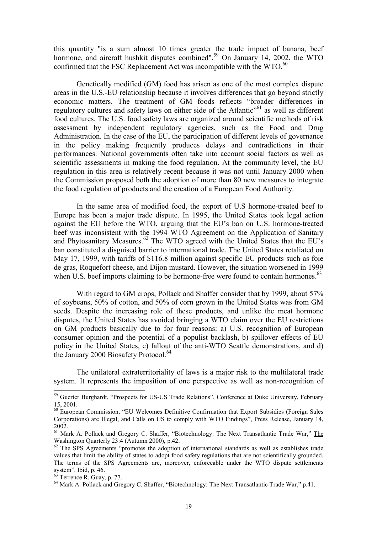this quantity "is a sum almost 10 times greater the trade impact of banana, beef hormone, and aircraft hushkit disputes combined".<sup>59</sup> On January 14, 2002, the WTO confirmed that the FSC Replacement Act was incompatible with the  $WTO<sup>60</sup>$ 

Genetically modified (GM) food has arisen as one of the most complex dispute areas in the U.S.-EU relationship because it involves differences that go beyond strictly economic matters. The treatment of GM foods reflects "broader differences in regulatory cultures and safety laws on either side of the Atlantic<sup>, 61</sup> as well as different food cultures. The U.S. food safety laws are organized around scientific methods of risk assessment by independent regulatory agencies, such as the Food and Drug Administration. In the case of the EU, the participation of different levels of governance in the policy making frequently produces delays and contradictions in their performances. National governments often take into account social factors as well as scientific assessments in making the food regulation. At the community level, the EU regulation in this area is relatively recent because it was not until January 2000 when the Commission proposed both the adoption of more than 80 new measures to integrate the food regulation of products and the creation of a European Food Authority.

In the same area of modified food, the export of U.S hormone-treated beef to Europe has been a major trade dispute. In 1995, the United States took legal action against the EU before the WTO, arguing that the EU's ban on U.S. hormone-treated beef was inconsistent with the 1994 WTO Agreement on the Application of Sanitary and Phytosanitary Measures.<sup>62</sup> The WTO agreed with the United States that the EU's ban constituted a disguised barrier to international trade. The United States retaliated on May 17, 1999, with tariffs of \$116.8 million against specific EU products such as foie de gras, Roquefort cheese, and Dijon mustard. However, the situation worsened in 1999 when U.S. beef imports claiming to be hormone-free were found to contain hormones.<sup>[63](#page-19-4)</sup>

With regard to GM crops, Pollack and Shaffer consider that by 1999, about 57% of soybeans, 50% of cotton, and 50% of corn grown in the United States was from GM seeds. Despite the increasing role of these products, and unlike the meat hormone disputes, the United States has avoided bringing a WTO claim over the EU restrictions on GM products basically due to for four reasons: a) U.S. recognition of European consumer opinion and the potential of a populist backlash, b) spillover effects of EU policy in the United States, c) fallout of the anti-WTO Seattle demonstrations, and d) the January 2000 Biosafety Protocol.<sup>[64](#page-19-5)</sup>

The unilateral extraterritoriality of laws is a major risk to the multilateral trade system. It represents the imposition of one perspective as well as non-recognition of

<span id="page-19-0"></span><sup>&</sup>lt;sup>59</sup> Guerter Burghardt, "Prospects for US-US Trade Relations", Conference at Duke University, February 15, 2001.<br><sup>60</sup> European Commission, "EU Welcomes Definitive Confirmation that Export Subsidies (Foreign Sales

<span id="page-19-1"></span>Corporations) are Illegal, and Calls on US to comply with WTO Findings", Press Release, January 14, 2002.

<span id="page-19-2"></span><sup>&</sup>lt;sup>61</sup> Mark A. Pollack and Gregory C. Shaffer, "Biotechnology: The Next Transatlantic Trade War," The Washington Quarterly 23:4 (Autumn 2000), p.42.<br><sup>62</sup> The SPS Agreements "promotes the adoption of international standards as well as establishes trade

<span id="page-19-3"></span>values that limit the ability of states to adopt food safety regulations that are not scientifically grounded. The terms of the SPS Agreements are, moreover, enforceable under the WTO dispute settlements system". Ibid, p. 46.<br><sup>63</sup> Terrence R. Guay, p. 77.<br><sup>64</sup> Mark A. Pollack and Gregory C. Shaffer, "Biotechnology: The Next Transatlantic Trade War," p.41.

<span id="page-19-4"></span>

<span id="page-19-5"></span>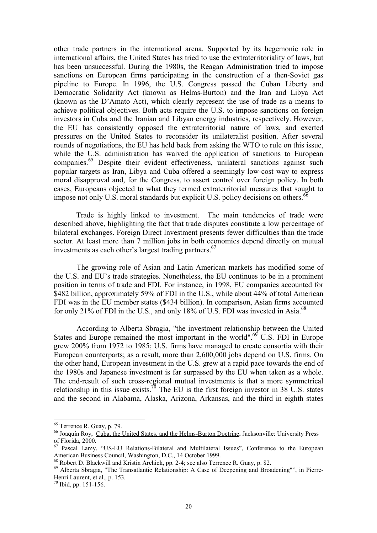other trade partners in the international arena. Supported by its hegemonic role in international affairs, the United States has tried to use the extraterritoriality of laws, but has been unsuccessful. During the 1980s, the Reagan Administration tried to impose sanctions on European firms participating in the construction of a then-Soviet gas pipeline to Europe. In 1996, the U.S. Congress passed the Cuban Liberty and Democratic Solidarity Act (known as Helms-Burton) and the Iran and Libya Act (known as the D'Amato Act), which clearly represent the use of trade as a means to achieve political objectives. Both acts require the U.S. to impose sanctions on foreign investors in Cuba and the Iranian and Libyan energy industries, respectively. However, the EU has consistently opposed the extraterritorial nature of laws, and exerted pressures on the United States to reconsider its unilateralist position. After several rounds of negotiations, the EU has held back from asking the WTO to rule on this issue, while the U.S. administration has waived the application of sanctions to European companies.[65](#page-20-0) Despite their evident effectiveness, unilateral sanctions against such popular targets as Iran, Libya and Cuba offered a seemingly low-cost way to express moral disapproval and, for the Congress, to assert control over foreign policy. In both cases, Europeans objected to what they termed extraterritorial measures that sought to impose not only U.S. moral standards but explicit U.S. policy decisions on others.  $^{66}$  $^{66}$  $^{66}$ 

Trade is highly linked to investment. The main tendencies of trade were described above, highlighting the fact that trade disputes constitute a low percentage of bilateral exchanges. Foreign Direct Investment presents fewer difficulties than the trade sector. At least more than 7 million jobs in both economies depend directly on mutual investments as each other's largest trading partners. [67](#page-20-2) 

The growing role of Asian and Latin American markets has modified some of the U.S. and EU's trade strategies. Nonetheless, the EU continues to be in a prominent position in terms of trade and FDI. For instance, in 1998, EU companies accounted for \$482 billion, approximately 59% of FDI in the U.S., while about 44% of total American FDI was in the EU member states (\$434 billion). In comparison, Asian firms accounted for only 21% of FDI in the U.S., and only 18% of U.S. FDI was invested in Asia.<sup>[68](#page-20-3)</sup>

According to Alberta Sbragia, "the investment relationship between the United States and Europe remained the most important in the world".<sup>69</sup> U.S. FDI in Europe grew 200% from 1972 to 1985; U.S. firms have managed to create consortia with their European counterparts; as a result, more than 2,600,000 jobs depend on U.S. firms. On the other hand, European investment in the U.S. grew at a rapid pace towards the end of the 1980s and Japanese investment is far surpassed by the EU when taken as a whole. The end-result of such cross-regional mutual investments is that a more symmetrical relationship in this issue exists.<sup>70</sup> The EU is the first foreign investor in 38 U.S. states and the second in Alabama, Alaska, Arizona, Arkansas, and the third in eighth states

<span id="page-20-1"></span><span id="page-20-0"></span>

 <sup>65</sup> Terrence R. Guay, p. 79. 66 Joaquín Roy, Cuba, the United States, and the Helms-Burton Doctrine**.** Jacksonville: University Press

<span id="page-20-2"></span> $<sup>67</sup>$  Pascal Lamy, "US-EU Relations-Bilateral and Multilateral Issues", Conference to the European American Business Council, Washington, D.C., 14 October 1999.</sup>

<span id="page-20-4"></span><span id="page-20-3"></span>

 $^{68}$  Robert D. Blackwill and Kristin Archick, pp. 2-4; see also Terrence R. Guay, p. 82.<br><sup>69</sup> Alberta Sbragia, "The Transatlantic Relationship: A Case of Deepening and Broadening"", in Pierre-Henri Laurent, et al., p. 153. 70 Ibid, pp. 151-156.

<span id="page-20-5"></span>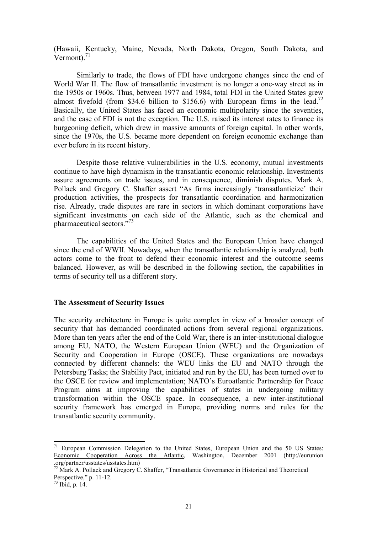(Hawaii, Kentucky, Maine, Nevada, North Dakota, Oregon, South Dakota, and Vermont). $^{71}$  $^{71}$  $^{71}$ 

Similarly to trade, the flows of FDI have undergone changes since the end of World War II. The flow of transatlantic investment is no longer a one-way street as in the 1950s or 1960s. Thus, between 1977 and 1984, total FDI in the United States grew almost fivefold (from \$34.6 billion to \$156.6) with European firms in the lead.<sup>72</sup> Basically, the United States has faced an economic multipolarity since the seventies, and the case of FDI is not the exception. The U.S. raised its interest rates to finance its burgeoning deficit, which drew in massive amounts of foreign capital. In other words, since the 1970s, the U.S. became more dependent on foreign economic exchange than ever before in its recent history.

Despite those relative vulnerabilities in the U.S. economy, mutual investments continue to have high dynamism in the transatlantic economic relationship. Investments assure agreements on trade issues, and in consequence, diminish disputes. Mark A. Pollack and Gregory C. Shaffer assert "As firms increasingly 'transatlanticize' their production activities, the prospects for transatlantic coordination and harmonization rise. Already, trade disputes are rare in sectors in which dominant corporations have significant investments on each side of the Atlantic, such as the chemical and pharmaceutical sectors."[73](#page-2-0)

The capabilities of the United States and the European Union have changed since the end of WWII. Nowadays, when the transatlantic relationship is analyzed, both actors come to the front to defend their economic interest and the outcome seems balanced. However, as will be described in the following section, the capabilities in terms of security tell us a different story.

# **The Assessment of Security Issues**

The security architecture in Europe is quite complex in view of a broader concept of security that has demanded coordinated actions from several regional organizations. More than ten years after the end of the Cold War, there is an inter-institutional dialogue among EU, NATO, the Western European Union (WEU) and the Organization of Security and Cooperation in Europe (OSCE). These organizations are nowadays connected by different channels: the WEU links the EU and NATO through the Petersburg Tasks; the Stability Pact, initiated and run by the EU, has been turned over to the OSCE for review and implementation; NATO's Euroatlantic Partnership for Peace Program aims at improving the capabilities of states in undergoing military transformation within the OSCE space. In consequence, a new inter-institutional security framework has emerged in Europe, providing norms and rules for the transatlantic security community.

<span id="page-21-0"></span> $71$  European Commission Delegation to the United States, European Union and the 50 US States: Economic Cooperation Across the Atlantic, Washington, December 2001 (http://eurunion

<span id="page-21-1"></span><sup>.</sup>org/partner/usstates/usstates.htm) 72 Mark A. Pollack and Gregory C. Shaffer, "Transatlantic Governance in Historical and Theoretical Perspective," p. 11-12.<br> $73$  Ibid, p. 14.

<span id="page-21-2"></span>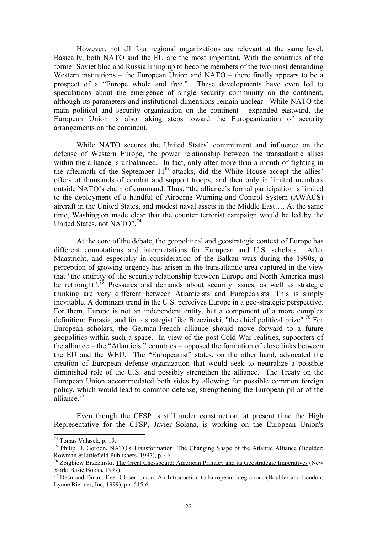However, not all four regional organizations are relevant at the same level. Basically, both NATO and the EU are the most important. With the countries of the former Soviet bloc and Russia lining up to become members of the two most demanding Western institutions – the European Union and NATO – there finally appears to be a prospect of a "Europe whole and free." These developments have even led to speculations about the emergence of single security community on the continent, although its parameters and institutional dimensions remain unclear. While NATO the main political and security organization on the continent - expanded eastward, the European Union is also taking steps toward the Europeanization of security arrangements on the continent.

While NATO secures the United States' commitment and influence on the defense of Western Europe, the power relationship between the transatlantic allies within the alliance is unbalanced. In fact, only after more than a month of fighting in the aftermath of the September  $11<sup>th</sup>$  attacks, did the White House accept the allies' offers of thousands of combat and support troops, and then only in limited members outside NATO's chain of command. Thus, "the alliance's formal participation is limited to the deployment of a handful of Airborne Warning and Control System (AWACS) aircraft in the United States, and modest naval assets in the Middle East…. At the same time, Washington made clear that the counter terrorist campaign would be led by the United States, not NATO". [74](#page-22-0)

At the core of the debate, the geopolitical and geostrategic context of Europe has different connotations and interpretations for European and U.S. scholars. After Maastricht, and especially in consideration of the Balkan wars during the 1990s, a perception of growing urgency has arisen in the transatlantic area captured in the view that "the entirety of the security relationship between Europe and North America must be rethought".<sup>75</sup> Pressures and demands about security issues, as well as strategic thinking are very different between Atlanticists and Europeanists. This is simply inevitable. A dominant trend in the U.S. perceives Europe in a geo-strategic perspective. For them, Europe is not an independent entity, but a component of a more complex definition: Eurasia, and for a strategist like Brzezinski, "the chief political prize".<sup>76</sup> For European scholars, the German-French alliance should move forward to a future geopolitics within such a space. In view of the post-Cold War realities, supporters of the alliance – the "Atlanticist" countries – opposed the formation of close links between the EU and the WEU. The "Europeanist" states, on the other hand, advocated the creation of European defense organization that would seek to neutralize a possible diminished role of the U.S. and possibly strengthen the alliance. The Treaty on the European Union accommodated both sides by allowing for possible common foreign policy, which would lead to common defense, strengthening the European pillar of the alliance.<sup>77</sup>

Even though the CFSP is still under construction, at present time the High Representative for the CFSP, Javier Solana, is working on the European Union's

<span id="page-22-1"></span><span id="page-22-0"></span>

<sup>&</sup>lt;sup>74</sup> Tomas Valasek, p. 19.<br><sup>75</sup> Philip H. Gordon, <u>NATO's Transformation: The Changing Shape of the Atlantic Alliance</u> (Boulder: Rowman & Littlefield Publishers, 1997), p. 46.

<span id="page-22-2"></span><sup>&</sup>lt;sup>76</sup> Zbigbiew Brzezinski, <u>The Great Chessboard: American Primacy and its Geostrategic Imperatives</u> (New York: Basic Books, 1997).

<span id="page-22-3"></span> $^{77}$  Desmond Dinan, Ever Closer Union: An Introduction to European Integration (Boulder and London: Lynne Rienner, Inc, 1999), pp. 515-6.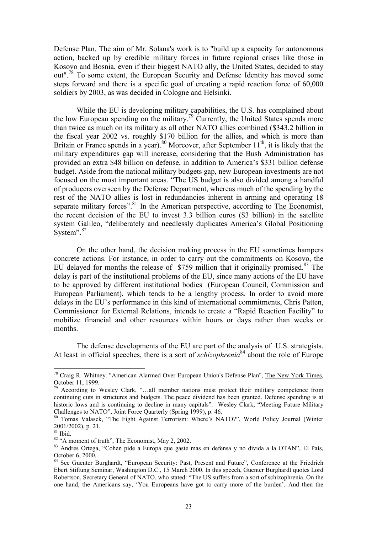<span id="page-23-6"></span>Defense Plan. The aim of Mr. Solana's work is to "build up a capacity for autonomous action, backed up by credible military forces in future regional crises like those in Kosovo and Bosnia, even if their biggest NATO ally, the United States, decided to stay out".<sup>78</sup> To some extent, the European Security and Defense Identity has moved some steps forward and there is a specific goal of creating a rapid reaction force of 60,000 soldiers by 2003, as was decided in Cologne and Helsinki.

While the EU is developing military capabilities, the U.S. has complained about the low European spending on the military.<sup>79</sup> Currently, the United States spends more than twice as much on its military as all other NATO allies combined (\$343.2 billion in the fiscal year 2002 vs. roughly \$170 billion for the allies, and which is more than Britain or France spends in a year).<sup>80</sup> Moreover, after September 11<sup>th</sup>, it is likely that the military expenditures gap will increase, considering that the Bush Administration has provided an extra \$48 billion on defense, in addition to America's \$331 billion defense budget. Aside from the national military budgets gap, new European investments are not focused on the most important areas. "The US budget is also divided among a handful of producers overseen by the Defense Department, whereas much of the spending by the rest of the NATO allies is lost in redundancies inherent in arming and operating 18 separate military forces".<sup>[81](#page-23-3)</sup> In the American perspective, according to The Economist, the recent decision of the EU to invest 3.3 billion euros (\$3 billion) in the satellite system Galileo, "deliberately and needlessly duplicates America's Global Positioning System". $82$ 

On the other hand, the decision making process in the EU sometimes hampers concrete actions. For instance, in order to carry out the commitments on Kosovo, the EU delayed for months the release of \$759 million that it originally promised.<sup>83</sup> The delay is part of the institutional problems of the EU, since many actions of the EU have to be approved by different institutional bodies (European Council, Commission and European Parliament), which tends to be a lengthy process. In order to avoid more delays in the EU's performance in this kind of international commitments, Chris Patten, Commissioner for External Relations, intends to create a "Rapid Reaction Facility" to mobilize financial and other resources within hours or days rather than weeks or months.

The defense developments of the EU are part of the analysis of U.S. strategists. At least in official speeches, there is a sort of *schizophrenia*<sup>84</sup> about the role of Europe

<span id="page-23-0"></span><sup>&</sup>lt;sup>78</sup> Craig R. Whitney. "American Alarmed Over European Union's Defense Plan",  $\frac{The New York Times}{.}$ October 11, 1999.

<span id="page-23-1"></span> $^{79}$  According to Wesley Clark, "...all member nations must protect their military competence from continuing cuts in structures and budgets. The peace dividend has been granted. Defense spending is at historic lows and is continuing to decline in many capitals". Wesley Clark, "Meeting Future Military Challenges to NATO", Joint Force Quarterly (Spring 1999), p. 46.

<span id="page-23-2"></span> $^{80}$  Tomas Valasek, "The Fight Against Terrorism: Where's NATO?", World Policy Journal (Winter 2001/2002), p. 21.<br><sup>81</sup> Ibid.<br><sup>82</sup> "A moment of truth", <u>The Economist</u>, May 2, 2002.

<span id="page-23-3"></span>

<span id="page-23-4"></span>

<span id="page-23-5"></span><sup>&</sup>lt;sup>83</sup> Andres Ortega, "Cohen pide a Europa que gaste mas en defensa y no divida a la OTAN", El País, October 6, 2000.

<sup>&</sup>lt;sup>84</sup> See Guenter Burghardt, "European Security: Past, Present and Future", Conference at the Friedrich Ebert Stiftung Seminar, Washington D.C., 15 March 2000. In this speech, Guenter Burghardt quotes Lord Robertson, Secretary General of NATO, who stated: "The US suffers from a sort of schizophrenia. On the one hand, the Americans say, 'You Europeans have got to carry more of the burden'. And then the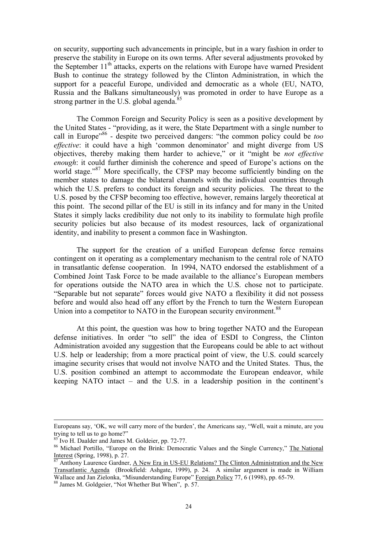on security, supporting such advancements in principle, but in a wary fashion in order to preserve the stability in Europe on its own terms. After several adjustments provoked by the September  $11<sup>th</sup>$  attacks, experts on the relations with Europe have warned President Bush to continue the strategy followed by the Clinton Administration, in which the support for a peaceful Europe, undivided and democratic as a whole (EU, NATO, Russia and the Balkans simultaneously) was promoted in order to have Europe as a strong partner in the U.S. global agenda. $8$ 

The Common Foreign and Security Policy is seen as a positive development by the United States - "providing, as it were, the State Department with a single number to call in Europe<sup>36</sup> - despite two perceived dangers: "the common policy could be *too effective*: it could have a high 'common denominator' and might diverge from US objectives, thereby making them harder to achieve," or it "might be *not effective enough*: it could further diminish the coherence and speed of Europe's actions on the world stage."<sup>87</sup> More specifically, the CFSP may become sufficiently binding on the member states to damage the bilateral channels with the individual countries through which the U.S. prefers to conduct its foreign and security policies. The threat to the U.S. posed by the CFSP becoming too effective, however, remains largely theoretical at this point. The second pillar of the EU is still in its infancy and for many in the United States it simply lacks credibility due not only to its inability to formulate high profile security policies but also because of its modest resources, lack of organizational identity, and inability to present a common face in Washington.

The support for the creation of a unified European defense force remains contingent on it operating as a complementary mechanism to the central role of NATO in transatlantic defense cooperation. In 1994, NATO endorsed the establishment of a Combined Joint Task Force to be made available to the alliance's European members for operations outside the NATO area in which the U.S. chose not to participate. "Separable but not separate" forces would give NATO a flexibility it did not possess before and would also head off any effort by the French to turn the Western European Union into a competitor to NATO in the European security environment.<sup>88</sup>

At this point, the question was how to bring together NATO and the European defense initiatives. In order "to sell" the idea of ESDI to Congress, the Clinton Administration avoided any suggestion that the Europeans could be able to act without U.S. help or leadership; from a more practical point of view, the U.S. could scarcely imagine security crises that would not involve NATO and the United States. Thus, the U.S. position combined an attempt to accommodate the European endeavor, while keeping NATO intact – and the U.S. in a leadership position in the continent's

l

Europeans say, 'OK, we will carry more of the burden', the Americans say, "Well, wait a minute, are you

<span id="page-24-1"></span><span id="page-24-0"></span>

trying to tell us to go home?"<br><sup>85</sup> Ivo H. Daalder and James M. Goldeier, pp. 72-77.<br><sup>86</sup> Michael Portillo, "Europe on the Brink: Democratic Values and the Single Currency," <u>The National Interest</u> (Spring, 1998), p. 27.

<span id="page-24-2"></span>Anthony Laurence Gardner, A New Era in US-EU Relations? The Clinton Administration and the New Transatlantic Agenda (Brookfield: Ashgate, 1999), p. 24. A similar argument is made in William Wallace and Jan Zielonka, "Misunderstanding Europe" Foreign Policy 77, 6 (1998), pp. 65-79.<br><sup>88</sup> James M. Goldgeier, "Not Whether But When", p. 57.

<span id="page-24-3"></span>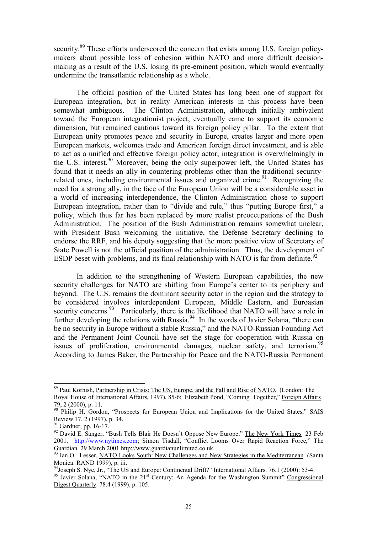security.<sup>89</sup> These efforts underscored the concern that exists among U.S. foreign policymakers about possible loss of cohesion within NATO and more difficult decisionmaking as a result of the U.S. losing its pre-eminent position, which would eventually undermine the transatlantic relationship as a whole.

The official position of the United States has long been one of support for European integration, but in reality American interests in this process have been somewhat ambiguous. The Clinton Administration, although initially ambivalent toward the European integrationist project, eventually came to support its economic dimension, but remained cautious toward its foreign policy pillar. To the extent that European unity promotes peace and security in Europe, creates larger and more open European markets, welcomes trade and American foreign direct investment, and is able to act as a unified and effective foreign policy actor, integration is overwhelmingly in the U.S. interest.<sup>90</sup> Moreover, being the only superpower left, the United States has found that it needs an ally in countering problems other than the traditional securityrelated ones, including environmental issues and organized crime.<sup>91</sup> Recognizing the need for a strong ally, in the face of the European Union will be a considerable asset in a world of increasing interdependence, the Clinton Administration chose to support European integration, rather than to "divide and rule," thus "putting Europe first," a policy, which thus far has been replaced by more realist preoccupations of the Bush Administration. The position of the Bush Administration remains somewhat unclear, with President Bush welcoming the initiative, the Defense Secretary declining to endorse the RRF, and his deputy suggesting that the more positive view of Secretary of State Powell is not the official position of the administration. Thus, the development of ESDP beset with problems, and its final relationship with NATO is far from definite.<sup>[92](#page-25-3)</sup>

In addition to the strengthening of Western European capabilities, the new security challenges for NATO are shifting from Europe's center to its periphery and beyond. The U.S. remains the dominant security actor in the region and the strategy to be considered involves interdependent European, Middle Eastern, and Euroasian security concerns. $93$  Particularly, there is the likelihood that NATO will have a role in further developing the relations with Russia.<sup>94</sup> In the words of Javier Solana, "there can be no security in Europe without a stable Russia," and the NATO-Russian Founding Act and the Permanent Joint Council have set the stage for cooperation with Russia on issues of proliferation, environmental damages, nuclear safety, and terrorism.<sup>95</sup> According to James Baker, the Partnership for Peace and the NATO-Russia Permanent

<span id="page-25-0"></span><sup>&</sup>lt;sup>89</sup> Paul Kornish, Partnership in Crisis: The US, Europe, and the Fall and Rise of NATO. (London: The Royal House of International Affairs, 1997), 85-6; Elizabeth Pond, "Coming Together," Foreign Affairs  $79, 2$  (2000), p. 11.<br><sup>90</sup> Philip H. Gordon, "Prospects for European Union and Implications for the United States," **SAIS** 

<span id="page-25-1"></span>Review 17, 2 (1997), p. 34.  $\frac{1}{91}$  Gardner, pp. 16-17.<br><sup>92</sup> David E. Sanger, "Bush Tells Blair He Doesn't Oppose New Europe," <u>The New York Times</u> 23 Feb

<span id="page-25-2"></span>

<span id="page-25-3"></span><sup>2001.</sup> [http://www.nytimes.com;](http://www.nytimes.com/) Simon Tisdall, "Conflict Looms Over Rapid Reaction Force," The Guardian 29 March 2001 http://www.guardianunlimited.co.uk.

<span id="page-25-4"></span><sup>&</sup>lt;sup>93</sup> Ian O. Lesser, <u>NATO Looks South: New Challenges and New Strategies in the Mediterranean</u> (Santa Monica: RAND 1999), p. iii.

<span id="page-25-6"></span><span id="page-25-5"></span>

<sup>&</sup>lt;sup>94</sup>Joseph S. Nye, Jr., "The US and Europe: Continental Drift?" International Affairs. 76.1 (2000): 53-4.<br><sup>95</sup> Javier Solana, "NATO in the  $21<sup>st</sup>$  Century: An Agenda for the Washington Summit" Congressional Digest Quarterly. 78.4 (1999), p. 105.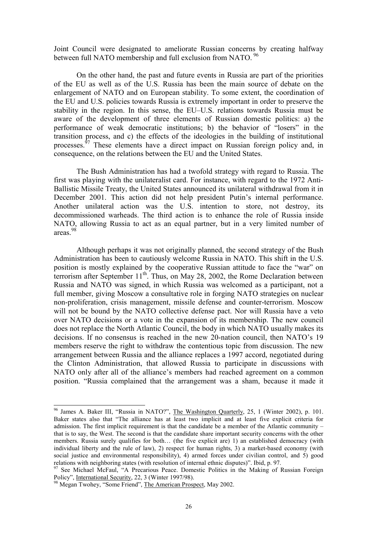Joint Council were designated to ameliorate Russian concerns by creating halfway between full NATO membership and full exclusion from NATO.<sup>[96](#page-26-0)</sup>

On the other hand, the past and future events in Russia are part of the priorities of the EU as well as of the U.S. Russia has been the main source of debate on the enlargement of NATO and on European stability. To some extent, the coordination of the EU and U.S. policies towards Russia is extremely important in order to preserve the stability in the region. In this sense, the EU–U.S. relations towards Russia must be aware of the development of three elements of Russian domestic politics: a) the performance of weak democratic institutions; b) the behavior of "losers" in the transition process, and c) the effects of the ideologies in the building of institutional processes.<sup>97</sup> These elements have a direct impact on Russian foreign policy and, in consequence, on the relations between the EU and the United States.

The Bush Administration has had a twofold strategy with regard to Russia. The first was playing with the unilateralist card. For instance, with regard to the 1972 Anti-Ballistic Missile Treaty, the United States announced its unilateral withdrawal from it in December 2001. This action did not help president Putin's internal performance. Another unilateral action was the U.S. intention to store, not destroy, its decommissioned warheads. The third action is to enhance the role of Russia inside NATO, allowing Russia to act as an equal partner, but in a very limited number of areas.[98](#page-26-2)

Although perhaps it was not originally planned, the second strategy of the Bush Administration has been to cautiously welcome Russia in NATO. This shift in the U.S. position is mostly explained by the cooperative Russian attitude to face the "war" on terrorism after September  $11<sup>th</sup>$ . Thus, on May 28, 2002, the Rome Declaration between Russia and NATO was signed, in which Russia was welcomed as a participant, not a full member, giving Moscow a consultative role in forging NATO strategies on nuclear non-proliferation, crisis management, missile defense and counter-terrorism. Moscow will not be bound by the NATO collective defense pact. Nor will Russia have a veto over NATO decisions or a vote in the expansion of its membership. The new council does not replace the North Atlantic Council, the body in which NATO usually makes its decisions. If no consensus is reached in the new 20-nation council, then NATO's 19 members reserve the right to withdraw the contentious topic from discussion. The new arrangement between Russia and the alliance replaces a 1997 accord, negotiated during the Clinton Administration, that allowed Russia to participate in discussions with NATO only after all of the alliance's members had reached agreement on a common position. "Russia complained that the arrangement was a sham, because it made it

<span id="page-26-0"></span><sup>&</sup>lt;sup>96</sup> James A. Baker III, "Russia in NATO?", The Washington Quarterly, 25, 1 (Winter 2002), p. 101. Baker states also that "The alliance has at least two implicit and at least five explicit criteria for admission. The first implicit requirement is that the candidate be a member of the Atlantic community – that is to say, the West. The second is that the candidate share important security concerns with the other members. Russia surely qualifies for both… (the five explicit are) 1) an established democracy (with individual liberty and the rule of law), 2) respect for human rights, 3) a market-based economy (with social justice and environmental responsibility), 4) armed forces under civilian control, and 5) good relations with neighboring states (with resolution of internal ethnic disputes)". Ibid, p. 97.

<span id="page-26-1"></span><sup>&</sup>lt;sup>97</sup> See Michael McFaul, "A Precarious Peace. Domestic Politics in the Making of Russian Foreign Policy". International Security, 22, 3 (Winter 1997/98).

<span id="page-26-2"></span><sup>&</sup>lt;sup>98</sup> Megan Twohey, "Some Friend", The American Prospect, May 2002.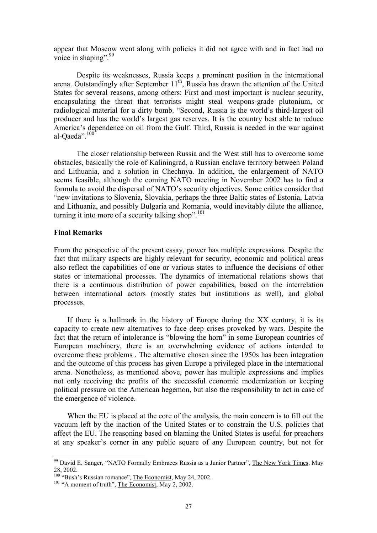appear that Moscow went along with policies it did not agree with and in fact had no voice in shaping".  $99$ 

Despite its weaknesses, Russia keeps a prominent position in the international arena. Outstandingly after September  $11<sup>th</sup>$ , Russia has drawn the attention of the United States for several reasons, among others: First and most important is nuclear security, encapsulating the threat that terrorists might steal weapons-grade plutonium, or radiological material for a dirty bomb. "Second, Russia is the world's third-largest oil producer and has the world's largest gas reserves. It is the country best able to reduce America's dependence on oil from the Gulf. Third, Russia is needed in the war against al-Oaeda".<sup>100</sup>

The closer relationship between Russia and the West still has to overcome some obstacles, basically the role of Kaliningrad, a Russian enclave territory between Poland and Lithuania, and a solution in Chechnya. In addition, the enlargement of NATO seems feasible, although the coming NATO meeting in November 2002 has to find a formula to avoid the dispersal of NATO's security objectives. Some critics consider that "new invitations to Slovenia, Slovakia, perhaps the three Baltic states of Estonia, Latvia and Lithuania, and possibly Bulgaria and Romania, would inevitably dilute the alliance, turning it into more of a security talking shop". [101](#page-27-2) 

# **Final Remarks**

From the perspective of the present essay, power has multiple expressions. Despite the fact that military aspects are highly relevant for security, economic and political areas also reflect the capabilities of one or various states to influence the decisions of other states or international processes. The dynamics of international relations shows that there is a continuous distribution of power capabilities, based on the interrelation between international actors (mostly states but institutions as well), and global processes.

If there is a hallmark in the history of Europe during the XX century, it is its capacity to create new alternatives to face deep crises provoked by wars. Despite the fact that the return of intolerance is "blowing the horn" in some European countries of European machinery, there is an overwhelming evidence of actions intended to overcome these problems . The alternative chosen since the 1950s has been integration and the outcome of this process has given Europe a privileged place in the international arena. Nonetheless, as mentioned above, power has multiple expressions and implies not only receiving the profits of the successful economic modernization or keeping political pressure on the American hegemon, but also the responsibility to act in case of the emergence of violence.

When the EU is placed at the core of the analysis, the main concern is to fill out the vacuum left by the inaction of the United States or to constrain the U.S. policies that affect the EU. The reasoning based on blaming the United States is useful for preachers at any speaker's corner in any public square of any European country, but not for

<span id="page-27-0"></span> $99$  David E. Sanger, "NATO Formally Embraces Russia as a Junior Partner", The New York Times, May 28, 2002.

<span id="page-27-1"></span><sup>&</sup>lt;sup>100</sup> "Bush's Russian romance", <u>The Economist</u>, May 24, 2002.<br><sup>101</sup> "A moment of truth", The Economist, May 2, 2002.

<span id="page-27-2"></span>